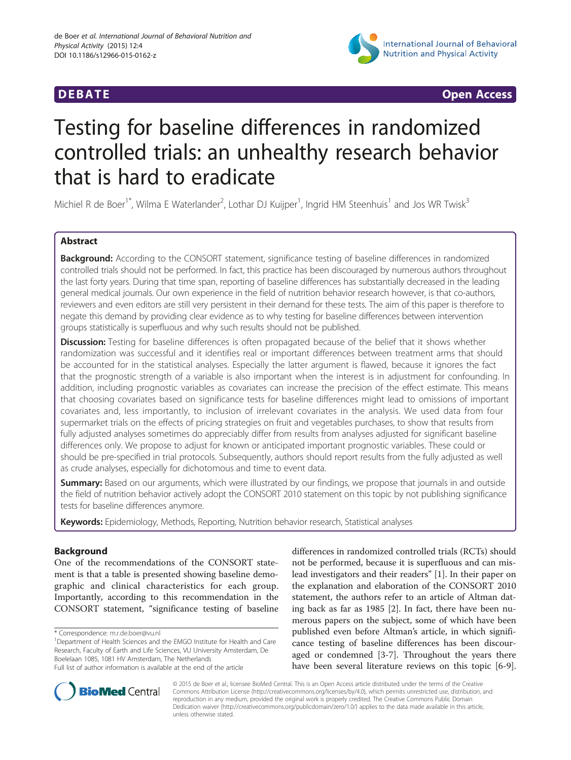

**DEBATE CONSIDERED ACCESS Open Access** 

# Testing for baseline differences in randomized controlled trials: an unhealthy research behavior that is hard to eradicate

Michiel R de Boer<sup>1\*</sup>, Wilma E Waterlander<sup>2</sup>, Lothar DJ Kuijper<sup>1</sup>, Ingrid HM Steenhuis<sup>1</sup> and Jos WR Twisk<sup>3</sup>

# Abstract

Background: According to the CONSORT statement, significance testing of baseline differences in randomized controlled trials should not be performed. In fact, this practice has been discouraged by numerous authors throughout the last forty years. During that time span, reporting of baseline differences has substantially decreased in the leading general medical journals. Our own experience in the field of nutrition behavior research however, is that co-authors, reviewers and even editors are still very persistent in their demand for these tests. The aim of this paper is therefore to negate this demand by providing clear evidence as to why testing for baseline differences between intervention groups statistically is superfluous and why such results should not be published.

**Discussion:** Testing for baseline differences is often propagated because of the belief that it shows whether randomization was successful and it identifies real or important differences between treatment arms that should be accounted for in the statistical analyses. Especially the latter argument is flawed, because it ignores the fact that the prognostic strength of a variable is also important when the interest is in adjustment for confounding. In addition, including prognostic variables as covariates can increase the precision of the effect estimate. This means that choosing covariates based on significance tests for baseline differences might lead to omissions of important covariates and, less importantly, to inclusion of irrelevant covariates in the analysis. We used data from four supermarket trials on the effects of pricing strategies on fruit and vegetables purchases, to show that results from fully adjusted analyses sometimes do appreciably differ from results from analyses adjusted for significant baseline differences only. We propose to adjust for known or anticipated important prognostic variables. These could or should be pre-specified in trial protocols. Subsequently, authors should report results from the fully adjusted as well as crude analyses, especially for dichotomous and time to event data.

**Summary:** Based on our arguments, which were illustrated by our findings, we propose that journals in and outside the field of nutrition behavior actively adopt the CONSORT 2010 statement on this topic by not publishing significance tests for baseline differences anymore.

Keywords: Epidemiology, Methods, Reporting, Nutrition behavior research, Statistical analyses

# Background

One of the recommendations of the CONSORT statement is that a table is presented showing baseline demographic and clinical characteristics for each group. Importantly, according to this recommendation in the CONSORT statement, "significance testing of baseline

\* Correspondence: [m.r.de.boer@vu.nl](mailto:m.r.de.boer@vu.nl) <sup>1</sup>

Department of Health Sciences and the EMGO Institute for Health and Care Research, Faculty of Earth and Life Sciences, VU University Amsterdam, De Boelelaan 1085, 1081 HV Amsterdam, The Netherlands

differences in randomized controlled trials (RCTs) should not be performed, because it is superfluous and can mislead investigators and their readers" [\[1](#page-6-0)]. In their paper on the explanation and elaboration of the CONSORT 2010 statement, the authors refer to an article of Altman dating back as far as 1985 [\[2\]](#page-6-0). In fact, there have been numerous papers on the subject, some of which have been published even before Altman's article, in which significance testing of baseline differences has been discouraged or condemned [\[3](#page-6-0)-[7\]](#page-6-0). Throughout the years there have been several literature reviews on this topic [[6-9](#page-6-0)].



© 2015 de Boer et al.; licensee BioMed Central. This is an Open Access article distributed under the terms of the Creative Commons Attribution License [\(http://creativecommons.org/licenses/by/4.0\)](http://creativecommons.org/licenses/by/4.0), which permits unrestricted use, distribution, and reproduction in any medium, provided the original work is properly credited. The Creative Commons Public Domain Dedication waiver [\(http://creativecommons.org/publicdomain/zero/1.0/](http://creativecommons.org/publicdomain/zero/1.0/)) applies to the data made available in this article, unless otherwise stated.

Full list of author information is available at the end of the article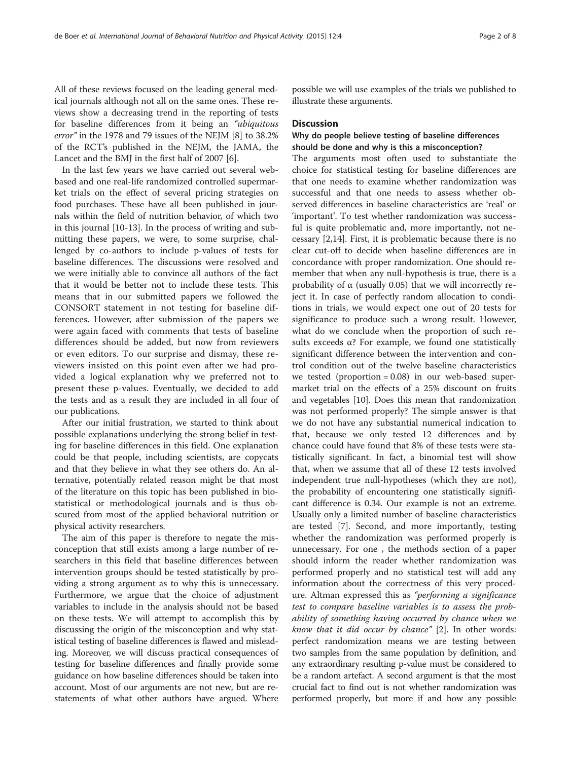All of these reviews focused on the leading general medical journals although not all on the same ones. These reviews show a decreasing trend in the reporting of tests for baseline differences from it being an "ubiquitous error" in the 1978 and 79 issues of the NEJM [\[8\]](#page-6-0) to 38.2% of the RCT's published in the NEJM, the JAMA, the Lancet and the BMJ in the first half of 2007 [\[6\]](#page-6-0).

In the last few years we have carried out several webbased and one real-life randomized controlled supermarket trials on the effect of several pricing strategies on food purchases. These have all been published in journals within the field of nutrition behavior, of which two in this journal [\[10](#page-6-0)-[13](#page-6-0)]. In the process of writing and submitting these papers, we were, to some surprise, challenged by co-authors to include p-values of tests for baseline differences. The discussions were resolved and we were initially able to convince all authors of the fact that it would be better not to include these tests. This means that in our submitted papers we followed the CONSORT statement in not testing for baseline differences. However, after submission of the papers we were again faced with comments that tests of baseline differences should be added, but now from reviewers or even editors. To our surprise and dismay, these reviewers insisted on this point even after we had provided a logical explanation why we preferred not to present these p-values. Eventually, we decided to add the tests and as a result they are included in all four of our publications.

After our initial frustration, we started to think about possible explanations underlying the strong belief in testing for baseline differences in this field. One explanation could be that people, including scientists, are copycats and that they believe in what they see others do. An alternative, potentially related reason might be that most of the literature on this topic has been published in biostatistical or methodological journals and is thus obscured from most of the applied behavioral nutrition or physical activity researchers.

The aim of this paper is therefore to negate the misconception that still exists among a large number of researchers in this field that baseline differences between intervention groups should be tested statistically by providing a strong argument as to why this is unnecessary. Furthermore, we argue that the choice of adjustment variables to include in the analysis should not be based on these tests. We will attempt to accomplish this by discussing the origin of the misconception and why statistical testing of baseline differences is flawed and misleading. Moreover, we will discuss practical consequences of testing for baseline differences and finally provide some guidance on how baseline differences should be taken into account. Most of our arguments are not new, but are restatements of what other authors have argued. Where

possible we will use examples of the trials we published to illustrate these arguments.

#### **Discussion**

### Why do people believe testing of baseline differences should be done and why is this a misconception?

The arguments most often used to substantiate the choice for statistical testing for baseline differences are that one needs to examine whether randomization was successful and that one needs to assess whether observed differences in baseline characteristics are 'real' or 'important'. To test whether randomization was successful is quite problematic and, more importantly, not necessary [[2,14\]](#page-6-0). First, it is problematic because there is no clear cut-off to decide when baseline differences are in concordance with proper randomization. One should remember that when any null-hypothesis is true, there is a probability of  $\alpha$  (usually 0.05) that we will incorrectly reject it. In case of perfectly random allocation to conditions in trials, we would expect one out of 20 tests for significance to produce such a wrong result. However, what do we conclude when the proportion of such results exceeds  $\alpha$ ? For example, we found one statistically significant difference between the intervention and control condition out of the twelve baseline characteristics we tested (proportion  $= 0.08$ ) in our web-based supermarket trial on the effects of a 25% discount on fruits and vegetables [[10](#page-6-0)]. Does this mean that randomization was not performed properly? The simple answer is that we do not have any substantial numerical indication to that, because we only tested 12 differences and by chance could have found that 8% of these tests were statistically significant. In fact, a binomial test will show that, when we assume that all of these 12 tests involved independent true null-hypotheses (which they are not), the probability of encountering one statistically significant difference is 0.34. Our example is not an extreme. Usually only a limited number of baseline characteristics are tested [\[7](#page-6-0)]. Second, and more importantly, testing whether the randomization was performed properly is unnecessary. For one , the methods section of a paper should inform the reader whether randomization was performed properly and no statistical test will add any information about the correctness of this very procedure. Altman expressed this as "performing a significance test to compare baseline variables is to assess the probability of something having occurred by chance when we know that it did occur by chance" [[2\]](#page-6-0). In other words: perfect randomization means we are testing between two samples from the same population by definition, and any extraordinary resulting p-value must be considered to be a random artefact. A second argument is that the most crucial fact to find out is not whether randomization was performed properly, but more if and how any possible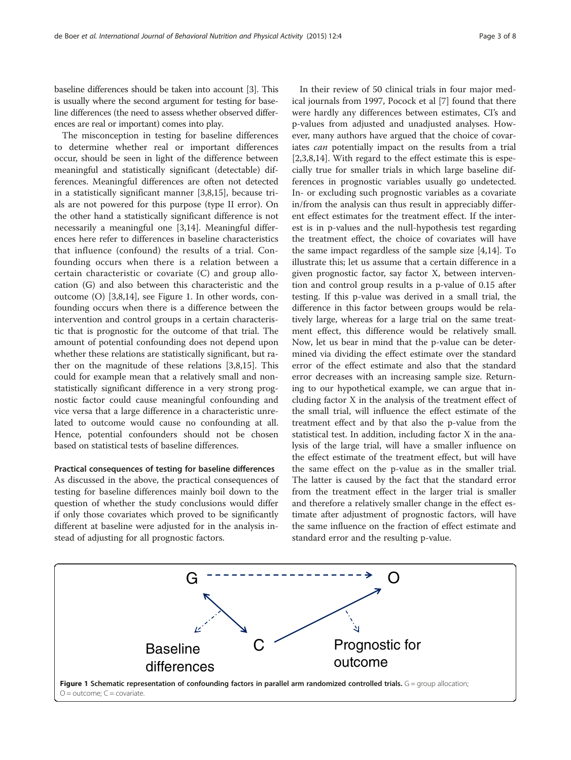baseline differences should be taken into account [\[3\]](#page-6-0). This is usually where the second argument for testing for baseline differences (the need to assess whether observed differences are real or important) comes into play.

The misconception in testing for baseline differences to determine whether real or important differences occur, should be seen in light of the difference between meaningful and statistically significant (detectable) differences. Meaningful differences are often not detected in a statistically significant manner [\[3,8](#page-6-0)[,15\]](#page-7-0), because trials are not powered for this purpose (type II error). On the other hand a statistically significant difference is not necessarily a meaningful one [\[3,14](#page-6-0)]. Meaningful differences here refer to differences in baseline characteristics that influence (confound) the results of a trial. Confounding occurs when there is a relation between a certain characteristic or covariate (C) and group allocation (G) and also between this characteristic and the outcome (O) [\[3,8,14](#page-6-0)], see Figure 1. In other words, confounding occurs when there is a difference between the intervention and control groups in a certain characteristic that is prognostic for the outcome of that trial. The amount of potential confounding does not depend upon whether these relations are statistically significant, but rather on the magnitude of these relations [[3,8,](#page-6-0)[15\]](#page-7-0). This could for example mean that a relatively small and nonstatistically significant difference in a very strong prognostic factor could cause meaningful confounding and vice versa that a large difference in a characteristic unrelated to outcome would cause no confounding at all. Hence, potential confounders should not be chosen based on statistical tests of baseline differences.

#### Practical consequences of testing for baseline differences

As discussed in the above, the practical consequences of testing for baseline differences mainly boil down to the question of whether the study conclusions would differ if only those covariates which proved to be significantly different at baseline were adjusted for in the analysis instead of adjusting for all prognostic factors.

In their review of 50 clinical trials in four major medical journals from 1997, Pocock et al [[7\]](#page-6-0) found that there were hardly any differences between estimates, CI's and p-values from adjusted and unadjusted analyses. However, many authors have argued that the choice of covariates *can* potentially impact on the results from a trial [[2,3,8,14\]](#page-6-0). With regard to the effect estimate this is especially true for smaller trials in which large baseline differences in prognostic variables usually go undetected. In- or excluding such prognostic variables as a covariate in/from the analysis can thus result in appreciably different effect estimates for the treatment effect. If the interest is in p-values and the null-hypothesis test regarding the treatment effect, the choice of covariates will have the same impact regardless of the sample size [\[4,14](#page-6-0)]. To illustrate this; let us assume that a certain difference in a given prognostic factor, say factor X, between intervention and control group results in a p-value of 0.15 after testing. If this p-value was derived in a small trial, the difference in this factor between groups would be relatively large, whereas for a large trial on the same treatment effect, this difference would be relatively small. Now, let us bear in mind that the p-value can be determined via dividing the effect estimate over the standard error of the effect estimate and also that the standard error decreases with an increasing sample size. Returning to our hypothetical example, we can argue that including factor X in the analysis of the treatment effect of the small trial, will influence the effect estimate of the treatment effect and by that also the p-value from the statistical test. In addition, including factor X in the analysis of the large trial, will have a smaller influence on the effect estimate of the treatment effect, but will have the same effect on the p-value as in the smaller trial. The latter is caused by the fact that the standard error from the treatment effect in the larger trial is smaller and therefore a relatively smaller change in the effect estimate after adjustment of prognostic factors, will have the same influence on the fraction of effect estimate and standard error and the resulting p-value.

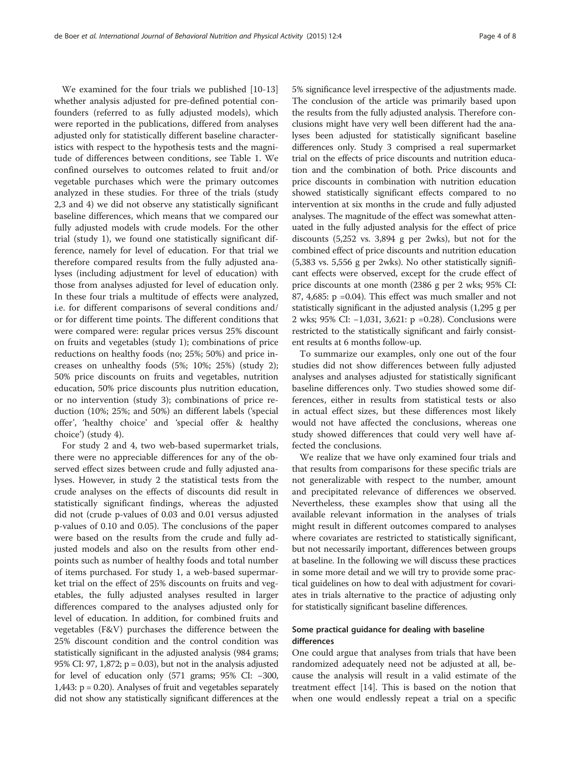We examined for the four trials we published [\[10](#page-6-0)-[13](#page-6-0)] whether analysis adjusted for pre-defined potential confounders (referred to as fully adjusted models), which were reported in the publications, differed from analyses adjusted only for statistically different baseline characteristics with respect to the hypothesis tests and the magnitude of differences between conditions, see Table [1](#page-4-0). We confined ourselves to outcomes related to fruit and/or vegetable purchases which were the primary outcomes analyzed in these studies. For three of the trials (study 2,3 and 4) we did not observe any statistically significant baseline differences, which means that we compared our fully adjusted models with crude models. For the other trial (study 1), we found one statistically significant difference, namely for level of education. For that trial we therefore compared results from the fully adjusted analyses (including adjustment for level of education) with those from analyses adjusted for level of education only. In these four trials a multitude of effects were analyzed, i.e. for different comparisons of several conditions and/ or for different time points. The different conditions that were compared were: regular prices versus 25% discount on fruits and vegetables (study 1); combinations of price reductions on healthy foods (no; 25%; 50%) and price increases on unhealthy foods (5%; 10%; 25%) (study 2); 50% price discounts on fruits and vegetables, nutrition education, 50% price discounts plus nutrition education, or no intervention (study 3); combinations of price reduction (10%; 25%; and 50%) an different labels ('special offer', 'healthy choice' and 'special offer & healthy choice') (study 4).

For study 2 and 4, two web-based supermarket trials, there were no appreciable differences for any of the observed effect sizes between crude and fully adjusted analyses. However, in study 2 the statistical tests from the crude analyses on the effects of discounts did result in statistically significant findings, whereas the adjusted did not (crude p-values of 0.03 and 0.01 versus adjusted p-values of 0.10 and 0.05). The conclusions of the paper were based on the results from the crude and fully adjusted models and also on the results from other endpoints such as number of healthy foods and total number of items purchased. For study 1, a web-based supermarket trial on the effect of 25% discounts on fruits and vegetables, the fully adjusted analyses resulted in larger differences compared to the analyses adjusted only for level of education. In addition, for combined fruits and vegetables (F&V) purchases the difference between the 25% discount condition and the control condition was statistically significant in the adjusted analysis (984 grams; 95% CI: 97, 1,872; p = 0.03), but not in the analysis adjusted for level of education only (571 grams; 95% CI: −300, 1,443: p = 0.20). Analyses of fruit and vegetables separately did not show any statistically significant differences at the 5% significance level irrespective of the adjustments made. The conclusion of the article was primarily based upon the results from the fully adjusted analysis. Therefore conclusions might have very well been different had the analyses been adjusted for statistically significant baseline differences only. Study 3 comprised a real supermarket trial on the effects of price discounts and nutrition education and the combination of both. Price discounts and price discounts in combination with nutrition education showed statistically significant effects compared to no intervention at six months in the crude and fully adjusted analyses. The magnitude of the effect was somewhat attenuated in the fully adjusted analysis for the effect of price discounts (5,252 vs. 3,894 g per 2wks), but not for the combined effect of price discounts and nutrition education (5,383 vs. 5,556 g per 2wks). No other statistically significant effects were observed, except for the crude effect of price discounts at one month (2386 g per 2 wks; 95% CI: 87, 4,685: p =0.04). This effect was much smaller and not statistically significant in the adjusted analysis (1,295 g per 2 wks; 95% CI: −1,031, 3,621: p =0.28). Conclusions were restricted to the statistically significant and fairly consistent results at 6 months follow-up.

To summarize our examples, only one out of the four studies did not show differences between fully adjusted analyses and analyses adjusted for statistically significant baseline differences only. Two studies showed some differences, either in results from statistical tests or also in actual effect sizes, but these differences most likely would not have affected the conclusions, whereas one study showed differences that could very well have affected the conclusions.

We realize that we have only examined four trials and that results from comparisons for these specific trials are not generalizable with respect to the number, amount and precipitated relevance of differences we observed. Nevertheless, these examples show that using all the available relevant information in the analyses of trials might result in different outcomes compared to analyses where covariates are restricted to statistically significant, but not necessarily important, differences between groups at baseline. In the following we will discuss these practices in some more detail and we will try to provide some practical guidelines on how to deal with adjustment for covariates in trials alternative to the practice of adjusting only for statistically significant baseline differences.

## Some practical guidance for dealing with baseline differences

One could argue that analyses from trials that have been randomized adequately need not be adjusted at all, because the analysis will result in a valid estimate of the treatment effect [[14\]](#page-6-0). This is based on the notion that when one would endlessly repeat a trial on a specific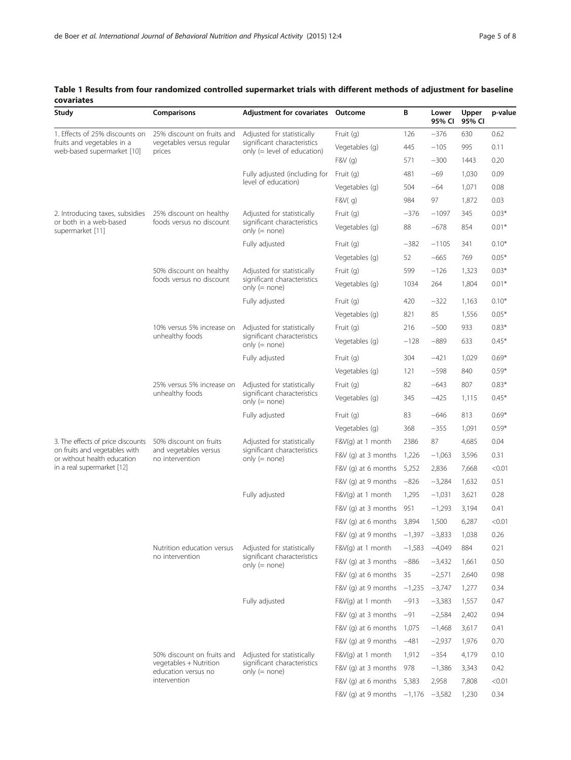| Study                                                                                                                           | Comparisons                                                                                 | Adjustment for covariates Outcome                                                        |                                     | В        | Lower<br>95% CI | Upper<br>95% CI | p-value |
|---------------------------------------------------------------------------------------------------------------------------------|---------------------------------------------------------------------------------------------|------------------------------------------------------------------------------------------|-------------------------------------|----------|-----------------|-----------------|---------|
| 1. Effects of 25% discounts on<br>fruits and vegetables in a<br>web-based supermarket [10]                                      | 25% discount on fruits and<br>vegetables versus regular<br>prices                           | Adjusted for statistically<br>significant characteristics<br>only (= level of education) | Fruit (g)                           | 126      | $-376$          | 630             | 0.62    |
|                                                                                                                                 |                                                                                             |                                                                                          | Vegetables (g)                      | 445      | $-105$          | 995             | 0.11    |
|                                                                                                                                 |                                                                                             |                                                                                          | F&V (g)                             | 571      | $-300$          | 1443            | 0.20    |
|                                                                                                                                 |                                                                                             | Fully adjusted (including for<br>level of education)                                     | Fruit (g)                           | 481      | $-69$           | 1,030           | 0.09    |
|                                                                                                                                 |                                                                                             |                                                                                          | Vegetables (g)                      | 504      | $-64$           | 1,071           | 0.08    |
|                                                                                                                                 |                                                                                             |                                                                                          | F&V(q)                              | 984      | 97              | 1,872           | 0.03    |
| 2. Introducing taxes, subsidies<br>or both in a web-based<br>supermarket [11]                                                   | 25% discount on healthy<br>foods versus no discount                                         | Adjusted for statistically<br>significant characteristics<br>only $(= none)$             | Fruit (g)                           | $-376$   | $-1097$         | 345             | $0.03*$ |
|                                                                                                                                 |                                                                                             |                                                                                          | Vegetables (g)                      | 88       | $-678$          | 854             | $0.01*$ |
|                                                                                                                                 |                                                                                             | Fully adjusted                                                                           | Fruit (g)                           | $-382$   | $-1105$         | 341             | $0.10*$ |
|                                                                                                                                 |                                                                                             |                                                                                          | Vegetables (g)                      | 52       | $-665$          | 769             | $0.05*$ |
|                                                                                                                                 | 50% discount on healthy<br>foods versus no discount                                         | Adjusted for statistically<br>significant characteristics<br>only $(= none)$             | Fruit (q)                           | 599      | $-126$          | 1,323           | $0.03*$ |
|                                                                                                                                 |                                                                                             |                                                                                          | Vegetables (g)                      | 1034     | 264             | 1,804           | $0.01*$ |
|                                                                                                                                 |                                                                                             | Fully adjusted                                                                           | Fruit (g)                           | 420      | $-322$          | 1,163           | $0.10*$ |
|                                                                                                                                 |                                                                                             |                                                                                          | Vegetables (g)                      | 821      | 85              | 1,556           | $0.05*$ |
|                                                                                                                                 | 10% versus 5% increase on<br>unhealthy foods                                                | Adjusted for statistically<br>significant characteristics<br>only $(= none)$             | Fruit (g)                           | 216      | $-500$          | 933             | $0.83*$ |
|                                                                                                                                 |                                                                                             |                                                                                          | Vegetables (g)                      | $-128$   | $-889$          | 633             | $0.45*$ |
|                                                                                                                                 |                                                                                             | Fully adjusted                                                                           | Fruit (g)                           | 304      | $-421$          | 1,029           | $0.69*$ |
|                                                                                                                                 |                                                                                             |                                                                                          | Vegetables (g)                      | 121      | $-598$          | 840             | $0.59*$ |
|                                                                                                                                 | 25% versus 5% increase on<br>unhealthy foods                                                | Adjusted for statistically<br>significant characteristics<br>$only (= none)$             | Fruit (q)                           | 82       | $-643$          | 807             | $0.83*$ |
|                                                                                                                                 |                                                                                             |                                                                                          | Vegetables (g)                      | 345      | $-425$          | 1,115           | $0.45*$ |
|                                                                                                                                 |                                                                                             | Fully adjusted                                                                           | Fruit (g)                           | 83       | $-646$          | 813             | $0.69*$ |
|                                                                                                                                 |                                                                                             |                                                                                          | Vegetables (g)                      | 368      | $-355$          | 1,091           | $0.59*$ |
| 3. The effects of price discounts<br>on fruits and vegetables with<br>or without health education<br>in a real supermarket [12] | 50% discount on fruits<br>and vegetables versus<br>no intervention                          | Adjusted for statistically<br>significant characteristics<br>only $(= none)$             | F&V(g) at 1 month                   | 2386     | 87              | 4,685           | 0.04    |
|                                                                                                                                 |                                                                                             |                                                                                          | F&V (g) at 3 months                 | 1,226    | $-1,063$        | 3,596           | 0.31    |
|                                                                                                                                 |                                                                                             |                                                                                          | F&V (g) at 6 months                 | 5,252    | 2,836           | 7,668           | < 0.01  |
|                                                                                                                                 |                                                                                             |                                                                                          | F&V (g) at 9 months                 | $-826$   | $-3,284$        | 1,632           | 0.51    |
|                                                                                                                                 |                                                                                             | Fully adjusted                                                                           | F&V(g) at 1 month                   | 1,295    | $-1,031$        | 3,621           | 0.28    |
|                                                                                                                                 |                                                                                             |                                                                                          | F&V (g) at 3 months                 | 951      | $-1,293$        | 3,194           | 0.41    |
|                                                                                                                                 |                                                                                             |                                                                                          | F&V (g) at 6 months 3,894           |          | 1,500           | 6,287           | < 0.01  |
|                                                                                                                                 |                                                                                             |                                                                                          | F&V (g) at 9 months $-1,397 -3,833$ |          |                 | 1,038           | 0.26    |
|                                                                                                                                 | Nutrition education versus<br>no intervention                                               | Adjusted for statistically<br>significant characteristics<br>only $(= none)$             | $F&V(q)$ at 1 month                 | $-1,583$ | $-4,049$        | 884             | 0.21    |
|                                                                                                                                 |                                                                                             |                                                                                          | F&V (g) at 3 months $-886$          |          | $-3,432$        | 1,661           | 0.50    |
|                                                                                                                                 |                                                                                             |                                                                                          | F&V (g) at 6 months 35              |          | $-2,571$        | 2,640           | 0.98    |
|                                                                                                                                 |                                                                                             |                                                                                          | F&V (g) at 9 months $-1,235$        |          | $-3,747$        | 1,277           | 0.34    |
|                                                                                                                                 |                                                                                             | Fully adjusted                                                                           | F&V(g) at 1 month                   | $-913$   | $-3,383$        | 1,557           | 0.47    |
|                                                                                                                                 |                                                                                             |                                                                                          | F&V (g) at 3 months                 | $-91$    | $-2,584$        | 2,402           | 0.94    |
|                                                                                                                                 |                                                                                             |                                                                                          | F&V (g) at 6 months                 | 1,075    | $-1,468$        | 3,617           | 0.41    |
|                                                                                                                                 |                                                                                             |                                                                                          | F&V (g) at 9 months                 | $-481$   | $-2,937$        | 1,976           | 0.70    |
|                                                                                                                                 | 50% discount on fruits and<br>vegetables + Nutrition<br>education versus no<br>intervention | Adjusted for statistically<br>significant characteristics<br>only $(= none)$             | F&V(g) at 1 month                   | 1,912    | $-354$          | 4,179           | 0.10    |
|                                                                                                                                 |                                                                                             |                                                                                          | F&V (g) at 3 months 978             |          | $-1,386$        | 3,343           | 0.42    |
|                                                                                                                                 |                                                                                             |                                                                                          | F&V (g) at 6 months 5,383           |          | 2,958           | 7,808           | < 0.01  |
|                                                                                                                                 |                                                                                             |                                                                                          | F&V (g) at 9 months $-1,176 -3,582$ |          |                 | 1,230           | 0.34    |

# <span id="page-4-0"></span>Table 1 Results from four randomized controlled supermarket trials with different methods of adjustment for baseline covariates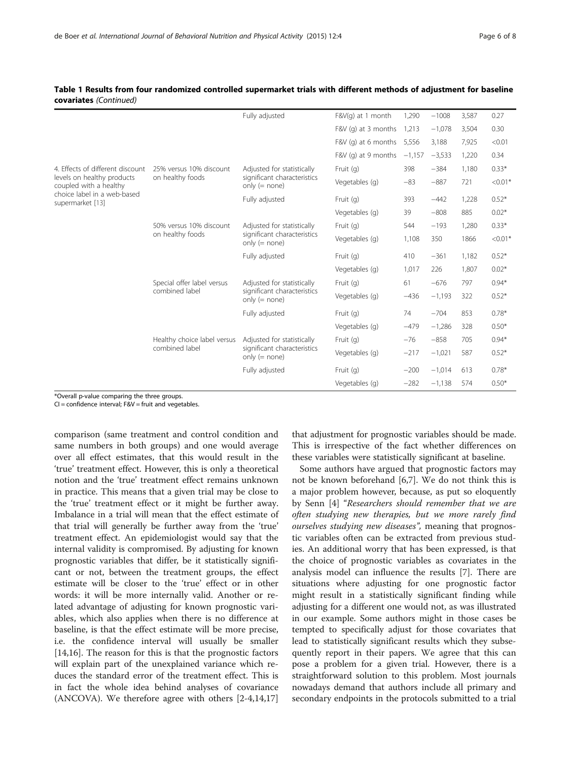|                                                                                                                                             |                                               | Fully adjusted                                                               | F&V(g) at 1 month   | 1,290    | $-1008$  | 3,587 | 0.27      |
|---------------------------------------------------------------------------------------------------------------------------------------------|-----------------------------------------------|------------------------------------------------------------------------------|---------------------|----------|----------|-------|-----------|
|                                                                                                                                             |                                               |                                                                              | F&V (g) at 3 months | 1,213    | $-1,078$ | 3,504 | 0.30      |
|                                                                                                                                             |                                               |                                                                              | F&V (g) at 6 months | 5,556    | 3,188    | 7,925 | < 0.01    |
|                                                                                                                                             |                                               |                                                                              | F&V (g) at 9 months | $-1,157$ | $-3,533$ | 1,220 | 0.34      |
| 4. Effects of different discount<br>levels on healthy products<br>coupled with a healthy<br>choice label in a web-based<br>supermarket [13] | 25% versus 10% discount<br>on healthy foods   | Adjusted for statistically<br>significant characteristics<br>only $(= none)$ | Fruit (g)           | 398      | $-384$   | 1,180 | $0.33*$   |
|                                                                                                                                             |                                               |                                                                              | Vegetables (g)      | $-83$    | $-887$   | 721   | $< 0.01*$ |
|                                                                                                                                             |                                               | Fully adjusted                                                               | Fruit (g)           | 393      | $-442$   | 1,228 | $0.52*$   |
|                                                                                                                                             |                                               |                                                                              | Vegetables (g)      | 39       | $-808$   | 885   | $0.02*$   |
|                                                                                                                                             | 50% versus 10% discount<br>on healthy foods   | Adjusted for statistically<br>significant characteristics<br>only $(= none)$ | Fruit (g)           | 544      | $-193$   | 1,280 | $0.33*$   |
|                                                                                                                                             |                                               |                                                                              | Vegetables (g)      | 1,108    | 350      | 1866  | $< 0.01*$ |
|                                                                                                                                             |                                               | Fully adjusted                                                               | Fruit (g)           | 410      | $-361$   | 1,182 | $0.52*$   |
|                                                                                                                                             |                                               |                                                                              | Vegetables (g)      | 1,017    | 226      | 1,807 | $0.02*$   |
|                                                                                                                                             | Special offer label versus<br>combined label  | Adjusted for statistically<br>significant characteristics<br>only $(= none)$ | Fruit (g)           | 61       | $-676$   | 797   | $0.94*$   |
|                                                                                                                                             |                                               |                                                                              | Vegetables (g)      | $-436$   | $-1,193$ | 322   | $0.52*$   |
|                                                                                                                                             |                                               | Fully adjusted                                                               | Fruit (g)           | 74       | $-704$   | 853   | $0.78*$   |
|                                                                                                                                             |                                               |                                                                              | Vegetables (g)      | $-479$   | $-1,286$ | 328   | $0.50*$   |
|                                                                                                                                             | Healthy choice label versus<br>combined label | Adjusted for statistically<br>significant characteristics<br>only $(= none)$ | Fruit (g)           | $-76$    | $-858$   | 705   | $0.94*$   |
|                                                                                                                                             |                                               |                                                                              | Vegetables (g)      | $-217$   | $-1,021$ | 587   | $0.52*$   |
|                                                                                                                                             |                                               | Fully adjusted                                                               | Fruit (g)           | $-200$   | $-1,014$ | 613   | $0.78*$   |
|                                                                                                                                             |                                               |                                                                              | Vegetables (g)      | $-282$   | $-1,138$ | 574   | $0.50*$   |

#### Table 1 Results from four randomized controlled supermarket trials with different methods of adjustment for baseline covariates (Continued)

\*Overall p-value comparing the three groups.

CI = confidence interval; F&V = fruit and vegetables.

comparison (same treatment and control condition and same numbers in both groups) and one would average over all effect estimates, that this would result in the 'true' treatment effect. However, this is only a theoretical notion and the 'true' treatment effect remains unknown in practice. This means that a given trial may be close to the 'true' treatment effect or it might be further away. Imbalance in a trial will mean that the effect estimate of that trial will generally be further away from the 'true' treatment effect. An epidemiologist would say that the internal validity is compromised. By adjusting for known prognostic variables that differ, be it statistically significant or not, between the treatment groups, the effect estimate will be closer to the 'true' effect or in other words: it will be more internally valid. Another or related advantage of adjusting for known prognostic variables, which also applies when there is no difference at baseline, is that the effect estimate will be more precise, i.e. the confidence interval will usually be smaller [[14,](#page-6-0)[16\]](#page-7-0). The reason for this is that the prognostic factors will explain part of the unexplained variance which reduces the standard error of the treatment effect. This is in fact the whole idea behind analyses of covariance (ANCOVA). We therefore agree with others [\[2-4](#page-6-0),[14](#page-6-0),[17](#page-7-0)]

that adjustment for prognostic variables should be made. This is irrespective of the fact whether differences on these variables were statistically significant at baseline.

Some authors have argued that prognostic factors may not be known beforehand [[6,7\]](#page-6-0). We do not think this is a major problem however, because, as put so eloquently by Senn [\[4](#page-6-0)] "Researchers should remember that we are often studying new therapies, but we more rarely find ourselves studying new diseases", meaning that prognostic variables often can be extracted from previous studies. An additional worry that has been expressed, is that the choice of prognostic variables as covariates in the analysis model can influence the results [[7\]](#page-6-0). There are situations where adjusting for one prognostic factor might result in a statistically significant finding while adjusting for a different one would not, as was illustrated in our example. Some authors might in those cases be tempted to specifically adjust for those covariates that lead to statistically significant results which they subsequently report in their papers. We agree that this can pose a problem for a given trial. However, there is a straightforward solution to this problem. Most journals nowadays demand that authors include all primary and secondary endpoints in the protocols submitted to a trial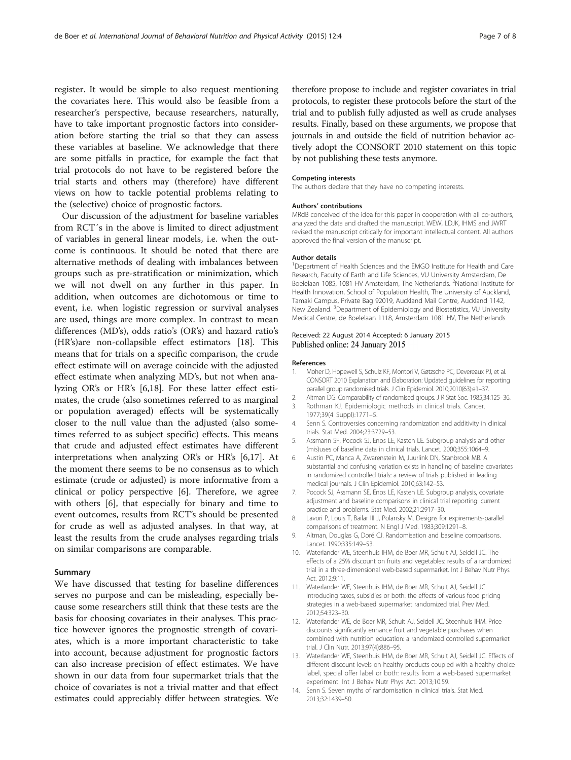<span id="page-6-0"></span>register. It would be simple to also request mentioning the covariates here. This would also be feasible from a researcher's perspective, because researchers, naturally, have to take important prognostic factors into consideration before starting the trial so that they can assess these variables at baseline. We acknowledge that there are some pitfalls in practice, for example the fact that trial protocols do not have to be registered before the trial starts and others may (therefore) have different views on how to tackle potential problems relating to the (selective) choice of prognostic factors.

Our discussion of the adjustment for baseline variables from RCT´s in the above is limited to direct adjustment of variables in general linear models, i.e. when the outcome is continuous. It should be noted that there are alternative methods of dealing with imbalances between groups such as pre-stratification or minimization, which we will not dwell on any further in this paper. In addition, when outcomes are dichotomous or time to event, i.e. when logistic regression or survival analyses are used, things are more complex. In contrast to mean differences (MD's), odds ratio's (OR's) and hazard ratio's (HR's)are non-collapsible effect estimators [[18](#page-7-0)]. This means that for trials on a specific comparison, the crude effect estimate will on average coincide with the adjusted effect estimate when analyzing MD's, but not when analyzing OR's or HR's [6,[18\]](#page-7-0). For these latter effect estimates, the crude (also sometimes referred to as marginal or population averaged) effects will be systematically closer to the null value than the adjusted (also sometimes referred to as subject specific) effects. This means that crude and adjusted effect estimates have different interpretations when analyzing OR's or HR's [6,[17\]](#page-7-0). At the moment there seems to be no consensus as to which estimate (crude or adjusted) is more informative from a clinical or policy perspective [6]. Therefore, we agree with others [6], that especially for binary and time to event outcomes, results from RCT's should be presented for crude as well as adjusted analyses. In that way, at least the results from the crude analyses regarding trials on similar comparisons are comparable.

#### Summary

We have discussed that testing for baseline differences serves no purpose and can be misleading, especially because some researchers still think that these tests are the basis for choosing covariates in their analyses. This practice however ignores the prognostic strength of covariates, which is a more important characteristic to take into account, because adjustment for prognostic factors can also increase precision of effect estimates. We have shown in our data from four supermarket trials that the choice of covariates is not a trivial matter and that effect estimates could appreciably differ between strategies. We therefore propose to include and register covariates in trial protocols, to register these protocols before the start of the trial and to publish fully adjusted as well as crude analyses results. Finally, based on these arguments, we propose that journals in and outside the field of nutrition behavior actively adopt the CONSORT 2010 statement on this topic by not publishing these tests anymore.

#### Competing interests

The authors declare that they have no competing interests.

#### Authors' contributions

MRdB conceived of the idea for this paper in cooperation with all co-authors, analyzed the data and drafted the manuscript. WEW, LDJK, IHMS and JWRT revised the manuscript critically for important intellectual content. All authors approved the final version of the manuscript.

#### Author details

<sup>1</sup>Department of Health Sciences and the EMGO Institute for Health and Care Research, Faculty of Earth and Life Sciences, VU University Amsterdam, De Boelelaan 1085, 1081 HV Amsterdam, The Netherlands. <sup>2</sup>National Institute for Health Innovation, School of Population Health, The University of Auckland, Tamaki Campus, Private Bag 92019, Auckland Mail Centre, Auckland 1142, New Zealand. <sup>3</sup>Department of Epidemiology and Biostatistics, VU University Medical Centre, de Boelelaan 1118, Amsterdam 1081 HV, The Netherlands.

#### Received: 22 August 2014 Accepted: 6 January 2015 Published online: 24 January 2015

#### References

- 1. Moher D, Hopewell S, Schulz KF, Montori V, Gøtzsche PC, Devereaux PJ, et al. CONSORT 2010 Explanation and Elaboration: Updated guidelines for reporting parallel group randomised trials. J Clin Epidemiol. 2010;2010(63):e1–37.
- 2. Altman DG. Comparability of randomised groups. J R Stat Soc. 1985;34:125–36.
- 3. Rothman KJ. Epidemiologic methods in clinical trials. Cancer.
- 1977;39(4 Suppl):1771–5. 4. Senn S. Controversies concerning randomization and additivity in clinical
- trials. Stat Med. 2004;23:3729–53. 5. Assmann SF, Pocock SJ, Enos LE, Kasten LE. Subgroup analysis and other (mis)uses of baseline data in clinical trials. Lancet. 2000;355:1064–9.
- 6. Austin PC, Manca A, Zwarenstein M, Juurlink DN, Stanbrook MB. A substantial and confusing variation exists in handling of baseline covariates in randomized controlled trials: a review of trials published in leading medical journals. J Clin Epidemiol. 2010;63:142–53.
- 7. Pocock SJ, Assmann SE, Enos LE, Kasten LE. Subgroup analysis, covariate adjustment and baseline comparisons in clinical trial reporting: current practice and problems. Stat Med. 2002;21:2917–30.
- 8. Lavori P, Louis T, Bailar III J, Polansky M. Designs for expirements-parallel comparisons of treatment. N Engl J Med. 1983;309:1291–8.
- 9. Altman, Douglas G, Doré CJ. Randomisation and baseline comparisons. Lancet. 1990;335:149–53.
- 10. Waterlander WE, Steenhuis IHM, de Boer MR, Schuit AJ, Seidell JC. The effects of a 25% discount on fruits and vegetables: results of a randomized trial in a three-dimensional web-based supermarket. Int J Behav Nutr Phys Act. 2012;9:11.
- 11. Waterlander WE, Steenhuis IHM, de Boer MR, Schuit AJ, Seidell JC. Introducing taxes, subsidies or both: the effects of various food pricing strategies in a web-based supermarket randomized trial. Prev Med. 2012;54:323–30.
- 12. Waterlander WE, de Boer MR, Schuit AJ, Seidell JC, Steenhuis IHM. Price discounts significantly enhance fruit and vegetable purchases when combined with nutrition education: a randomized controlled supermarket trial. J Clin Nutr. 2013;97(4):886–95.
- 13. Waterlander WE, Steenhuis IHM, de Boer MR, Schuit AJ, Seidell JC. Effects of different discount levels on healthy products coupled with a healthy choice label, special offer label or both: results from a web-based supermarket experiment. Int J Behav Nutr Phys Act. 2013;10:59.
- 14. Senn S. Seven myths of randomisation in clinical trials. Stat Med. 2013;32:1439–50.